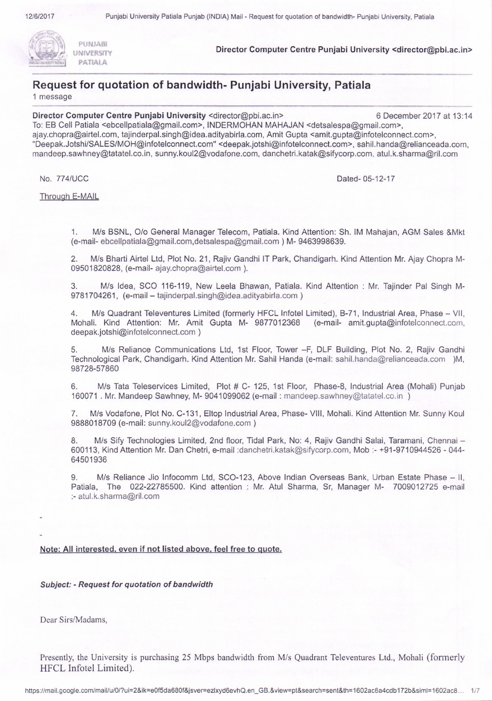



PATIALA.

PUNJABI<br>Director Computer Centre Punjabi University <director@pbi.ac.in>

# Request for quotation of bandwidth- Punjabi University, Patiala

'1 message

Director Computer Centre Punjabi University <director@pbi.ac.in> 6 December 2017 at 13:14

To: EB Cell Patiala <ebcellpatiala@gmail.com>, INDERMOHAN MAHAJAN <detsalespa@gmail.com>, ajay.chopra@airtel.com, tajinderpal.singh@idea.adityabirla.com, Amit Gupta <amit.gupta@infotelconnect.com>, "Deepak.Jotshi/SALES/MOH@infotelconnect.com" <deepak.jotshi@infotelconnect.com>, sahil.handa@relianceada.com, mandeep.sawhney@tatatel.co.in, sunny.koul2@vodafone.com, danchetri.katak@sifycorp-com, atul.k.sharma@ril.com

No. 774/UCC

Dated- 05-12-17

Through E-MAIL

1. M/s BSNL, O/o General Manager Telecom, Patiala. Kind Attention: Sh. IM Mahajan, AGM Sales &Mkt (e-mail- ebcellpatiala@gmail.com,detsalespa@gmail.com ) M- 9463998639.

2. N4/s Bharti Airtel Ltd, Plot No. 21, Rajiv Gandhi lT Park, Chandigarh. Kind Attention Mr. Ajay Chopra M-09501820828, (e-mail- ajay.chopra@airtel.com).

3. M/s ldea, SCO 116-119, New Leela Bhawan, Patiala. Kind Attention : Mr. Tajinder Pal Singh M-9781704261, (e-mail - tajinderpal.singh@idea.adityabirla.com)

4. M/s Quadrant Televentures Limited (formerly HFCL Infotel Limited), B-71, Industrial Area, Phase - VII, Mohali. Kind Attention: Mr. Amit Gupta M- 9877012368 (e-mail- amit.gupta@infotelconnect.com, deepak.jotshi@infotelconnect.com )

M/s Reliance Communications Ltd, 1st Floor, Tower -F, DLF Building, Plot No. 2, Rajiv Gandhi Technological Park, Chandigarh. Kind Attention Mr. Sahil Handa (e-mail: sahil. handa@relianceada.com )M, 98728-57860

6. N4/s Tata Teleservices Limlted, Plot # C- 125, 1st Floor, Phase-8, Industrial Area (Mohali) Punjab 160071 . Mr. Mandeep Sawhney, M- 9041099062 (e-mail : mandeep.sawhney@taiatel.co. in )

7. M/s Vodafone, Plot No. C-131, Eltop Industrial Area, Phase- VIII, Mohali. Kind Attention Mr. Sunny Koul 9888018709 (e-mail: sunny.kou12@vodafone.com )

8. M/s Sify Technologies Limited, 2nd floor, Tidal Park, No: 4, Rajiv Gandhi Salai, Taramani, Chennai - 600113, Kind Attention Mr. Dan Chetri, e-mail :dancheki.katak@sifycorp.com, Mob :- +91-9710944526 - 044- 64501936

9. M/s Reliance Jio Infocomm Ltd, SCO-123, Above Indian Overseas Bank, Urban Estate Phase - II, Patiala, The 022-22785500. Kind attention : Mr. Atul Sharma, Sr, Manager M- 7009012725 e-mail :- atul.k.sharma@ril.com

## Note: All interested, even if not listed above, feel free to quote.

Subject: - Reguest for quotation of bandwidth

Dear Sirs/Madams,

Presently, the University is purchasing 25 Mbps bandwidth from M/s Quadrant Televentures Ltd., Mohali (formerly HFCL Infotel Limited).